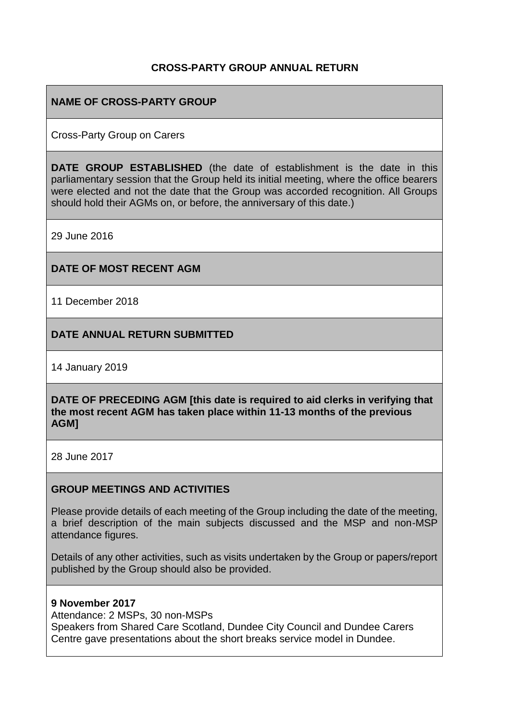### **CROSS-PARTY GROUP ANNUAL RETURN**

# **NAME OF CROSS-PARTY GROUP**

Cross-Party Group on Carers

**DATE GROUP ESTABLISHED** (the date of establishment is the date in this parliamentary session that the Group held its initial meeting, where the office bearers were elected and not the date that the Group was accorded recognition. All Groups should hold their AGMs on, or before, the anniversary of this date.)

29 June 2016

### **DATE OF MOST RECENT AGM**

11 December 2018

### **DATE ANNUAL RETURN SUBMITTED**

14 January 2019

**DATE OF PRECEDING AGM [this date is required to aid clerks in verifying that the most recent AGM has taken place within 11-13 months of the previous AGM]**

28 June 2017

#### **GROUP MEETINGS AND ACTIVITIES**

Please provide details of each meeting of the Group including the date of the meeting, a brief description of the main subjects discussed and the MSP and non-MSP attendance figures.

Details of any other activities, such as visits undertaken by the Group or papers/report published by the Group should also be provided.

#### **9 November 2017**

Attendance: 2 MSPs, 30 non-MSPs

Speakers from Shared Care Scotland, Dundee City Council and Dundee Carers Centre gave presentations about the short breaks service model in Dundee.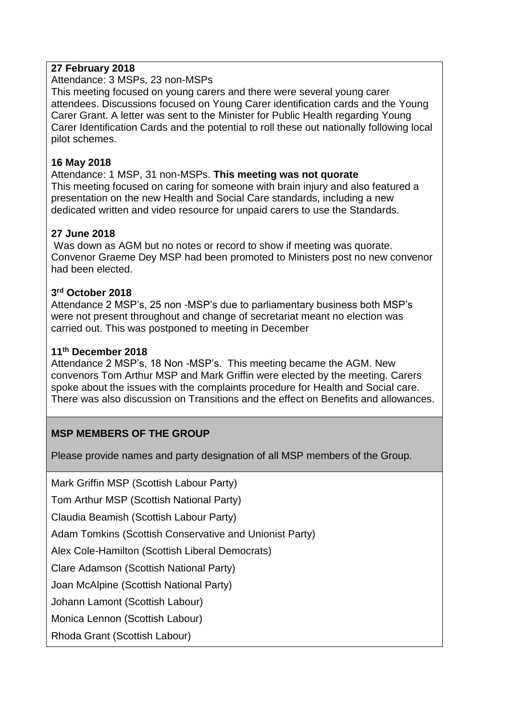# **27 February 2018**

Attendance: 3 MSPs, 23 non-MSPs

This meeting focused on young carers and there were several young carer attendees. Discussions focused on Young Carer identification cards and the Young Carer Grant. A letter was sent to the Minister for Public Health regarding Young Carer Identification Cards and the potential to roll these out nationally following local pilot schemes.

# **16 May 2018**

Attendance: 1 MSP, 31 non-MSPs. **This meeting was not quorate** This meeting focused on caring for someone with brain injury and also featured a presentation on the new Health and Social Care standards, including a new dedicated written and video resource for unpaid carers to use the Standards.

# **27 June 2018**

Was down as AGM but no notes or record to show if meeting was quorate. Convenor Graeme Dey MSP had been promoted to Ministers post no new convenor had been elected.

### **3 rd October 2018**

Attendance 2 MSP's, 25 non -MSP's due to parliamentary business both MSP's were not present throughout and change of secretariat meant no election was carried out. This was postponed to meeting in December

### **11th December 2018**

Attendance 2 MSP's, 18 Non -MSP's. This meeting became the AGM. New convenors Tom Arthur MSP and Mark Griffin were elected by the meeting. Carers spoke about the issues with the complaints procedure for Health and Social care. There was also discussion on Transitions and the effect on Benefits and allowances.

# **MSP MEMBERS OF THE GROUP**

Please provide names and party designation of all MSP members of the Group.

Mark Griffin MSP (Scottish Labour Party)

Tom Arthur MSP (Scottish National Party)

Claudia Beamish (Scottish Labour Party)

Adam Tomkins (Scottish Conservative and Unionist Party)

Alex Cole-Hamilton (Scottish Liberal Democrats)

Clare Adamson (Scottish National Party)

Joan McAlpine (Scottish National Party)

Johann Lamont (Scottish Labour)

Monica Lennon (Scottish Labour)

Rhoda Grant (Scottish Labour)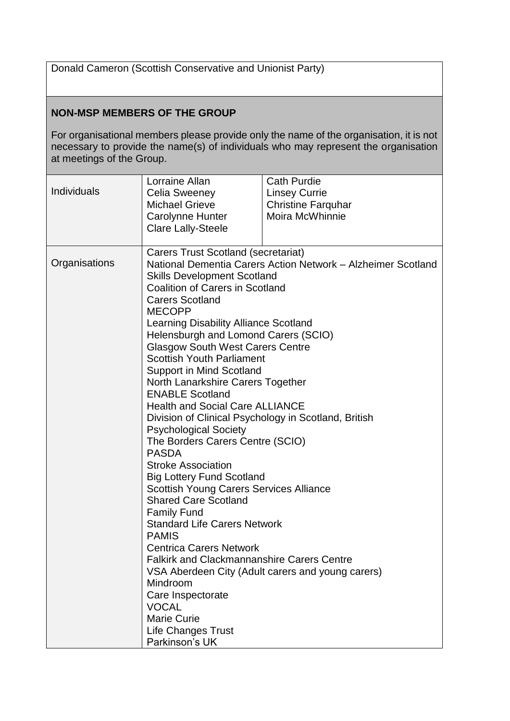Donald Cameron (Scottish Conservative and Unionist Party)

# **NON-MSP MEMBERS OF THE GROUP**

For organisational members please provide only the name of the organisation, it is not necessary to provide the name(s) of individuals who may represent the organisation at meetings of the Group.

|                    | Lorraine Allan                                                                                                                                                                                                                                                                                                                                                                                                    | <b>Cath Purdie</b>        |  |
|--------------------|-------------------------------------------------------------------------------------------------------------------------------------------------------------------------------------------------------------------------------------------------------------------------------------------------------------------------------------------------------------------------------------------------------------------|---------------------------|--|
| <b>Individuals</b> | <b>Celia Sweeney</b>                                                                                                                                                                                                                                                                                                                                                                                              | <b>Linsey Currie</b>      |  |
|                    | <b>Michael Grieve</b>                                                                                                                                                                                                                                                                                                                                                                                             | <b>Christine Farquhar</b> |  |
|                    | Carolynne Hunter                                                                                                                                                                                                                                                                                                                                                                                                  | Moira McWhinnie           |  |
|                    | <b>Clare Lally-Steele</b>                                                                                                                                                                                                                                                                                                                                                                                         |                           |  |
|                    |                                                                                                                                                                                                                                                                                                                                                                                                                   |                           |  |
|                    | <b>Carers Trust Scotland (secretariat)</b>                                                                                                                                                                                                                                                                                                                                                                        |                           |  |
| Organisations      | National Dementia Carers Action Network - Alzheimer Scotland                                                                                                                                                                                                                                                                                                                                                      |                           |  |
|                    | <b>Skills Development Scotland</b>                                                                                                                                                                                                                                                                                                                                                                                |                           |  |
|                    | <b>Coalition of Carers in Scotland</b>                                                                                                                                                                                                                                                                                                                                                                            |                           |  |
|                    | <b>Carers Scotland</b>                                                                                                                                                                                                                                                                                                                                                                                            |                           |  |
|                    | <b>MECOPP</b><br><b>Learning Disability Alliance Scotland</b><br>Helensburgh and Lomond Carers (SCIO)<br><b>Glasgow South West Carers Centre</b><br><b>Scottish Youth Parliament</b><br>Support in Mind Scotland<br>North Lanarkshire Carers Together<br><b>ENABLE Scotland</b><br><b>Health and Social Care ALLIANCE</b><br>Division of Clinical Psychology in Scotland, British<br><b>Psychological Society</b> |                           |  |
|                    |                                                                                                                                                                                                                                                                                                                                                                                                                   |                           |  |
|                    |                                                                                                                                                                                                                                                                                                                                                                                                                   |                           |  |
|                    |                                                                                                                                                                                                                                                                                                                                                                                                                   |                           |  |
|                    |                                                                                                                                                                                                                                                                                                                                                                                                                   |                           |  |
|                    |                                                                                                                                                                                                                                                                                                                                                                                                                   |                           |  |
|                    |                                                                                                                                                                                                                                                                                                                                                                                                                   |                           |  |
|                    |                                                                                                                                                                                                                                                                                                                                                                                                                   |                           |  |
|                    |                                                                                                                                                                                                                                                                                                                                                                                                                   |                           |  |
|                    |                                                                                                                                                                                                                                                                                                                                                                                                                   |                           |  |
|                    |                                                                                                                                                                                                                                                                                                                                                                                                                   |                           |  |
|                    | The Borders Carers Centre (SCIO)                                                                                                                                                                                                                                                                                                                                                                                  |                           |  |
|                    | <b>PASDA</b><br><b>Stroke Association</b><br><b>Big Lottery Fund Scotland</b><br><b>Scottish Young Carers Services Alliance</b><br><b>Shared Care Scotland</b>                                                                                                                                                                                                                                                    |                           |  |
|                    |                                                                                                                                                                                                                                                                                                                                                                                                                   |                           |  |
|                    |                                                                                                                                                                                                                                                                                                                                                                                                                   |                           |  |
|                    |                                                                                                                                                                                                                                                                                                                                                                                                                   |                           |  |
|                    |                                                                                                                                                                                                                                                                                                                                                                                                                   |                           |  |
|                    |                                                                                                                                                                                                                                                                                                                                                                                                                   |                           |  |
|                    | <b>Family Fund</b>                                                                                                                                                                                                                                                                                                                                                                                                |                           |  |
|                    | <b>Standard Life Carers Network</b>                                                                                                                                                                                                                                                                                                                                                                               |                           |  |
|                    | <b>PAMIS</b>                                                                                                                                                                                                                                                                                                                                                                                                      |                           |  |
|                    | <b>Centrica Carers Network</b>                                                                                                                                                                                                                                                                                                                                                                                    |                           |  |
|                    | <b>Falkirk and Clackmannanshire Carers Centre</b>                                                                                                                                                                                                                                                                                                                                                                 |                           |  |
|                    | VSA Aberdeen City (Adult carers and young carers)                                                                                                                                                                                                                                                                                                                                                                 |                           |  |
|                    | Mindroom                                                                                                                                                                                                                                                                                                                                                                                                          |                           |  |
|                    | Care Inspectorate                                                                                                                                                                                                                                                                                                                                                                                                 |                           |  |
|                    | <b>VOCAL</b>                                                                                                                                                                                                                                                                                                                                                                                                      |                           |  |
|                    | <b>Marie Curie</b>                                                                                                                                                                                                                                                                                                                                                                                                |                           |  |
|                    | <b>Life Changes Trust</b>                                                                                                                                                                                                                                                                                                                                                                                         |                           |  |
|                    | Parkinson's UK                                                                                                                                                                                                                                                                                                                                                                                                    |                           |  |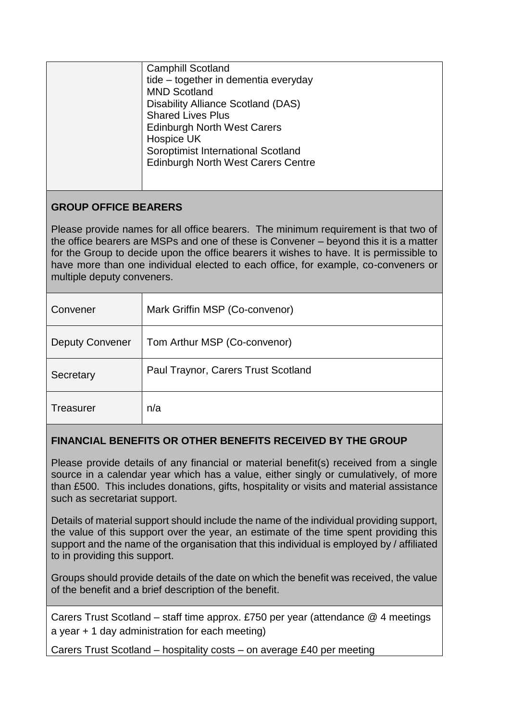|                                                                                                                                                                              | <b>Camphill Scotland</b><br>tide – together in dementia everyday<br><b>MND Scotland</b><br>Disability Alliance Scotland (DAS)<br><b>Shared Lives Plus</b><br><b>Edinburgh North West Carers</b><br>Hospice UK<br>Soroptimist International Scotland<br><b>Edinburgh North West Carers Centre</b> |  |
|------------------------------------------------------------------------------------------------------------------------------------------------------------------------------|--------------------------------------------------------------------------------------------------------------------------------------------------------------------------------------------------------------------------------------------------------------------------------------------------|--|
| <b>GROUP OFFICE BEARERS</b>                                                                                                                                                  |                                                                                                                                                                                                                                                                                                  |  |
| Please provide names for all office bearers. The minimum requirement is that two of<br>the office bearers are MSPs and one of these is Convener – beyond this it is a matter |                                                                                                                                                                                                                                                                                                  |  |

for the Group to decide upon the office bearers it wishes to have. It is permissible to have more than one individual elected to each office, for example, co-conveners or multiple deputy conveners.

| Convener               | Mark Griffin MSP (Co-convenor)      |
|------------------------|-------------------------------------|
| <b>Deputy Convener</b> | Tom Arthur MSP (Co-convenor)        |
| Secretary              | Paul Traynor, Carers Trust Scotland |
| <b>Treasurer</b>       | n/a                                 |

# **FINANCIAL BENEFITS OR OTHER BENEFITS RECEIVED BY THE GROUP**

Please provide details of any financial or material benefit(s) received from a single source in a calendar year which has a value, either singly or cumulatively, of more than £500. This includes donations, gifts, hospitality or visits and material assistance such as secretariat support.

Details of material support should include the name of the individual providing support, the value of this support over the year, an estimate of the time spent providing this support and the name of the organisation that this individual is employed by / affiliated to in providing this support.

Groups should provide details of the date on which the benefit was received, the value of the benefit and a brief description of the benefit.

Carers Trust Scotland – staff time approx. £750 per year (attendance @ 4 meetings a year + 1 day administration for each meeting)

Carers Trust Scotland – hospitality costs – on average £40 per meeting